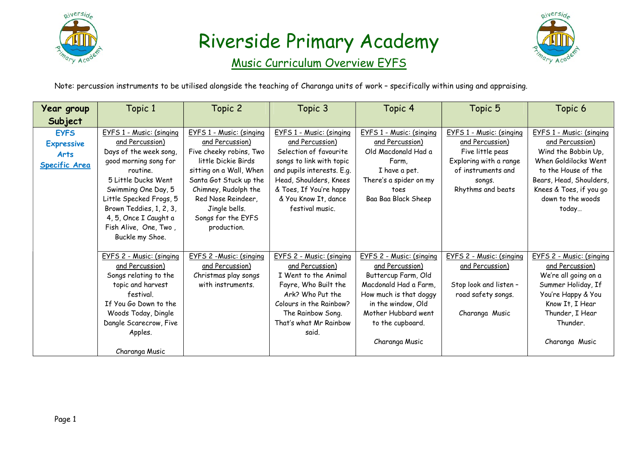

#### Music Curriculum Overview EYFS



Note: percussion instruments to be utilised alongside the teaching of Charanga units of work – specifically within using and appraising.

| Year group           | Topic 1                  | Topic 2                  | Topic 3                    | Topic 4                  | Topic 5                         | Topic 6                         |
|----------------------|--------------------------|--------------------------|----------------------------|--------------------------|---------------------------------|---------------------------------|
| Subject              |                          |                          |                            |                          |                                 |                                 |
| <b>EYFS</b>          | EYFS 1 - Music: (singing | EYFS 1 - Music: (singing | EYFS 1 - Music: (singing   | EYFS 1 - Music: (singing | EYFS 1 - Music: (singing        | EYFS 1 - Music: (singing        |
| <b>Expressive</b>    | and Percussion)          | and Percussion)          | and Percussion)            | and Percussion)          | and Percussion)                 | and Percussion)                 |
| <b>Arts</b>          | Days of the week song,   | Five cheeky robins, Two  | Selection of favourite     | Old Macdonald Had a      | Five little peas                | Wind the Bobbin Up,             |
| <b>Specific Area</b> | good morning song for    | little Dickie Birds      | songs to link with topic   | Farm.                    | Exploring with a range          | When Goldilocks Went            |
|                      | routine.                 | sitting on a Wall, When  | and pupils interests. E.g. | I have a pet.            | of instruments and              | to the House of the             |
|                      | 5 Little Ducks Went      | Santa Got Stuck up the   | Head, Shoulders, Knees     | There's a spider on my   | songs.                          | Bears, Head, Shoulders,         |
|                      | Swimming One Day, 5      | Chimney, Rudolph the     | & Toes, If You're happy    | toes                     | Rhythms and beats               | Knees & Toes, if you go         |
|                      | Little Specked Frogs, 5  | Red Nose Reindeer,       | & You Know It, dance       | Baa Baa Black Sheep      |                                 | down to the woods               |
|                      | Brown Teddies, 1, 2, 3,  | Jingle bells.            | festival music.            |                          |                                 | today                           |
|                      | 4, 5, Once I Caught a    | Songs for the EYFS       |                            |                          |                                 |                                 |
|                      | Fish Alive, One, Two,    | production.              |                            |                          |                                 |                                 |
|                      | Buckle my Shoe.          |                          |                            |                          |                                 |                                 |
|                      | EYFS 2 - Music: (singing | EYFS 2 - Music: (singing | EYFS 2 - Music: (singing   | EYFS 2 - Music: (singing | <b>EYFS 2 - Music: (singing</b> | <b>EYFS 2 - Music: (singing</b> |
|                      | and Percussion)          | and Percussion)          | and Percussion)            | and Percussion)          | and Percussion)                 | and Percussion)                 |
|                      | Songs relating to the    | Christmas play songs     | I Went to the Animal       | Buttercup Farm, Old      |                                 | We're all going on a            |
|                      | topic and harvest        | with instruments.        | Fayre, Who Built the       | Macdonald Had a Farm,    | Stop look and listen -          | Summer Holiday, If              |
|                      | festival.                |                          | Ark? Who Put the           | How much is that doggy   | road safety songs.              | You're Happy & You              |
|                      | If You Go Down to the    |                          | Colours in the Rainbow?    | in the window, Old       |                                 | Know It, I Hear                 |
|                      | Woods Today, Dingle      |                          | The Rainbow Song.          | Mother Hubbard went      | Charanga Music                  | Thunder, I Hear                 |
|                      | Dangle Scarecrow, Five   |                          | That's what Mr Rainbow     | to the cupboard.         |                                 | Thunder.                        |
|                      | Apples.                  |                          | said.                      |                          |                                 |                                 |
|                      |                          |                          |                            | Charanga Music           |                                 | Charanga Music                  |
|                      | Charanga Music           |                          |                            |                          |                                 |                                 |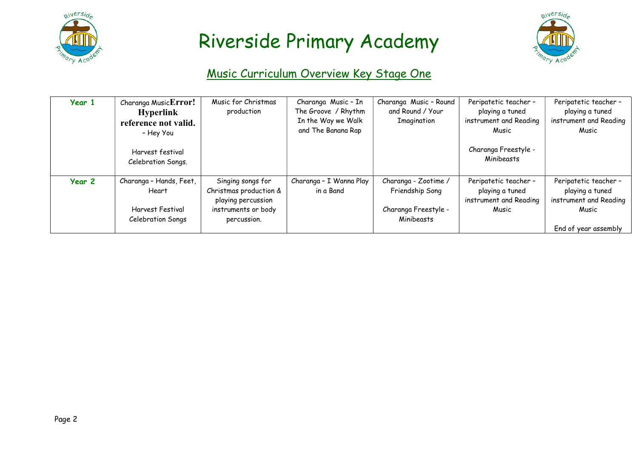



#### Music Curriculum Overview Key Stage One

| Year 1 | Charanga MusicError!<br><b>Hyperlink</b><br>reference not valid.<br>- Hey You<br>Harvest festival<br>Celebration Songs. | Music for Christmas<br>production                                                                       | Charanga Music - In<br>The Groove / Rhythm<br>In the Way we Walk<br>and The Banana Rap | Charanga Music - Round<br>and Round / Your<br>Imagination                     | Peripatetic teacher -<br>playing a tuned<br>instrument and Reading<br>Music<br>Charanga Freestyle -<br>Minibeasts | Peripatetic teacher -<br>playing a tuned<br>instrument and Reading<br>Music                         |
|--------|-------------------------------------------------------------------------------------------------------------------------|---------------------------------------------------------------------------------------------------------|----------------------------------------------------------------------------------------|-------------------------------------------------------------------------------|-------------------------------------------------------------------------------------------------------------------|-----------------------------------------------------------------------------------------------------|
| Year 2 | Charanga - Hands, Feet,<br>Heart<br>Harvest Festival<br>Celebration Songs                                               | Singing songs for<br>Christmas production &<br>playing percussion<br>instruments or body<br>percussion. | Charanga - I Wanna Play<br>in a Band                                                   | Charanga - Zootime /<br>Friendship Song<br>Charanga Freestyle -<br>Minibeasts | Peripatetic teacher -<br>playing a tuned<br>instrument and Reading<br>Music                                       | Peripatetic teacher -<br>playing a tuned<br>instrument and Reading<br>Music<br>End of year assembly |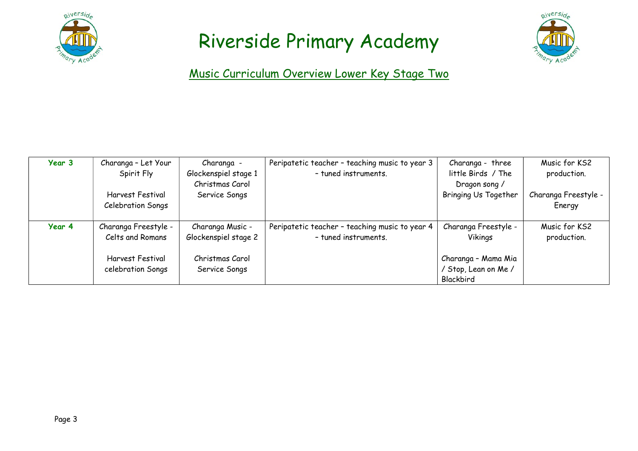



Music Curriculum Overview Lower Key Stage Two

| Year 3 | Charanga - Let Your                   | Charanga -                       | Peripatetic teacher - teaching music to year 3 | Charanga - three                                         | Music for KS2                  |
|--------|---------------------------------------|----------------------------------|------------------------------------------------|----------------------------------------------------------|--------------------------------|
|        | Spirit Fly                            | Glockenspiel stage 1             | - tuned instruments.                           | little Birds / The                                       | production.                    |
|        | Harvest Festival<br>Celebration Songs | Christmas Carol<br>Service Songs |                                                | Dragon song /<br><b>Bringing Us Together</b>             | Charanga Freestyle -<br>Energy |
| Year 4 | Charanga Freestyle -                  | Charanga Music -                 | Peripatetic teacher - teaching music to year 4 | Charanga Freestyle -                                     | Music for KS2                  |
|        | Celts and Romans                      | Glockenspiel stage 2             | - tuned instruments.                           | Vikings                                                  | production.                    |
|        | Harvest Festival<br>celebration Songs | Christmas Carol<br>Service Songs |                                                | Charanga - Mama Mia<br>/ Stop, Lean on Me /<br>Blackbird |                                |